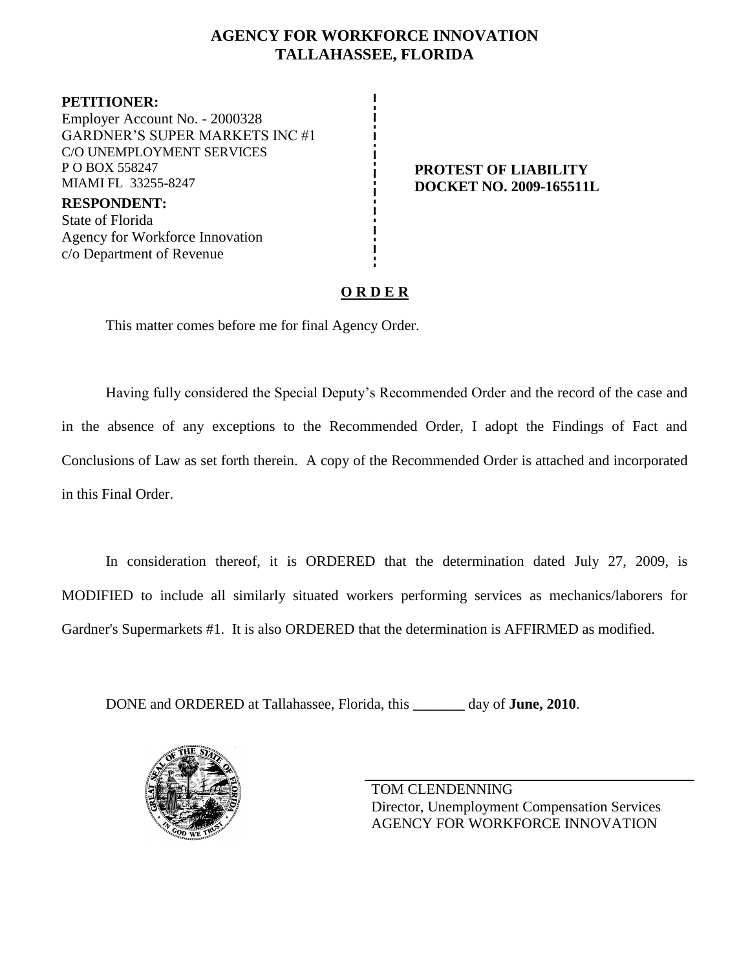### **AGENCY FOR WORKFORCE INNOVATION TALLAHASSEE, FLORIDA**

**PETITIONER:** Employer Account No. - 2000328 GARDNER'S SUPER MARKETS INC #1 C/O UNEMPLOYMENT SERVICES P O BOX 558247 MIAMI FL 33255-8247

**RESPONDENT:** State of Florida Agency for Workforce Innovation c/o Department of Revenue

#### **PROTEST OF LIABILITY DOCKET NO. 2009-165511L**

## **O R D E R**

This matter comes before me for final Agency Order.

Having fully considered the Special Deputy's Recommended Order and the record of the case and in the absence of any exceptions to the Recommended Order, I adopt the Findings of Fact and Conclusions of Law as set forth therein. A copy of the Recommended Order is attached and incorporated in this Final Order.

In consideration thereof, it is ORDERED that the determination dated July 27, 2009, is MODIFIED to include all similarly situated workers performing services as mechanics/laborers for Gardner's Supermarkets #1. It is also ORDERED that the determination is AFFIRMED as modified.

DONE and ORDERED at Tallahassee, Florida, this **\_\_\_\_\_\_\_** day of **June, 2010**.



TOM CLENDENNING Director, Unemployment Compensation Services AGENCY FOR WORKFORCE INNOVATION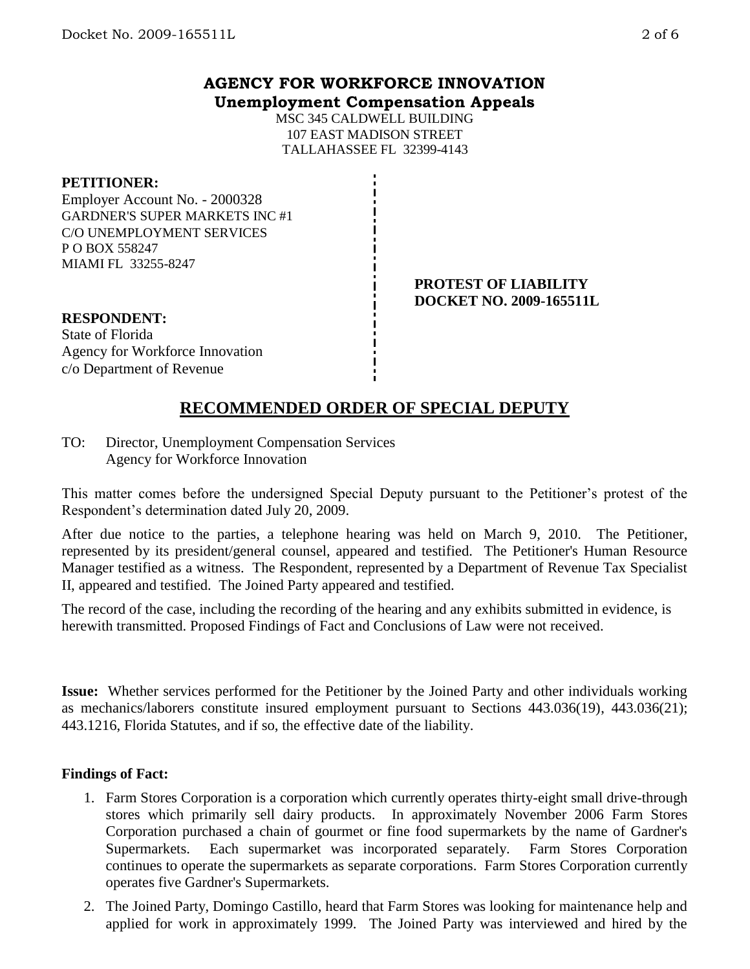#### **AGENCY FOR WORKFORCE INNOVATION Unemployment Compensation Appeals**

MSC 345 CALDWELL BUILDING 107 EAST MADISON STREET TALLAHASSEE FL 32399-4143

#### **PETITIONER:**

Employer Account No. - 2000328 GARDNER'S SUPER MARKETS INC #1 C/O UNEMPLOYMENT SERVICES P O BOX 558247 MIAMI FL 33255-8247

> **PROTEST OF LIABILITY DOCKET NO. 2009-165511L**

**RESPONDENT:** State of Florida Agency for Workforce Innovation c/o Department of Revenue

# **RECOMMENDED ORDER OF SPECIAL DEPUTY**

TO: Director, Unemployment Compensation Services Agency for Workforce Innovation

This matter comes before the undersigned Special Deputy pursuant to the Petitioner's protest of the Respondent's determination dated July 20, 2009.

After due notice to the parties, a telephone hearing was held on March 9, 2010. The Petitioner, represented by its president/general counsel, appeared and testified. The Petitioner's Human Resource Manager testified as a witness. The Respondent, represented by a Department of Revenue Tax Specialist II, appeared and testified. The Joined Party appeared and testified.

The record of the case, including the recording of the hearing and any exhibits submitted in evidence, is herewith transmitted. Proposed Findings of Fact and Conclusions of Law were not received.

**Issue:** Whether services performed for the Petitioner by the Joined Party and other individuals working as mechanics/laborers constitute insured employment pursuant to Sections 443.036(19), 443.036(21); 443.1216, Florida Statutes, and if so, the effective date of the liability.

#### **Findings of Fact:**

- 1. Farm Stores Corporation is a corporation which currently operates thirty-eight small drive-through stores which primarily sell dairy products. In approximately November 2006 Farm Stores Corporation purchased a chain of gourmet or fine food supermarkets by the name of Gardner's Supermarkets. Each supermarket was incorporated separately. Farm Stores Corporation continues to operate the supermarkets as separate corporations. Farm Stores Corporation currently operates five Gardner's Supermarkets.
- 2. The Joined Party, Domingo Castillo, heard that Farm Stores was looking for maintenance help and applied for work in approximately 1999. The Joined Party was interviewed and hired by the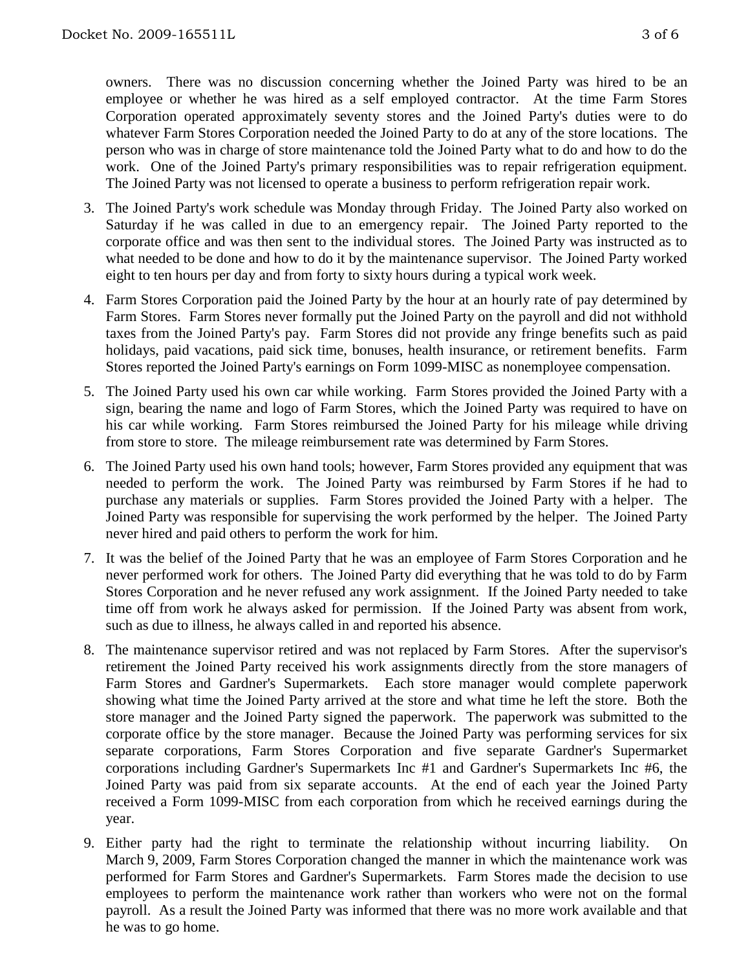owners. There was no discussion concerning whether the Joined Party was hired to be an employee or whether he was hired as a self employed contractor. At the time Farm Stores Corporation operated approximately seventy stores and the Joined Party's duties were to do whatever Farm Stores Corporation needed the Joined Party to do at any of the store locations. The person who was in charge of store maintenance told the Joined Party what to do and how to do the work. One of the Joined Party's primary responsibilities was to repair refrigeration equipment. The Joined Party was not licensed to operate a business to perform refrigeration repair work.

- 3. The Joined Party's work schedule was Monday through Friday. The Joined Party also worked on Saturday if he was called in due to an emergency repair. The Joined Party reported to the corporate office and was then sent to the individual stores. The Joined Party was instructed as to what needed to be done and how to do it by the maintenance supervisor. The Joined Party worked eight to ten hours per day and from forty to sixty hours during a typical work week.
- 4. Farm Stores Corporation paid the Joined Party by the hour at an hourly rate of pay determined by Farm Stores. Farm Stores never formally put the Joined Party on the payroll and did not withhold taxes from the Joined Party's pay. Farm Stores did not provide any fringe benefits such as paid holidays, paid vacations, paid sick time, bonuses, health insurance, or retirement benefits. Farm Stores reported the Joined Party's earnings on Form 1099-MISC as nonemployee compensation.
- 5. The Joined Party used his own car while working. Farm Stores provided the Joined Party with a sign, bearing the name and logo of Farm Stores, which the Joined Party was required to have on his car while working. Farm Stores reimbursed the Joined Party for his mileage while driving from store to store. The mileage reimbursement rate was determined by Farm Stores.
- 6. The Joined Party used his own hand tools; however, Farm Stores provided any equipment that was needed to perform the work. The Joined Party was reimbursed by Farm Stores if he had to purchase any materials or supplies. Farm Stores provided the Joined Party with a helper. The Joined Party was responsible for supervising the work performed by the helper. The Joined Party never hired and paid others to perform the work for him.
- 7. It was the belief of the Joined Party that he was an employee of Farm Stores Corporation and he never performed work for others. The Joined Party did everything that he was told to do by Farm Stores Corporation and he never refused any work assignment. If the Joined Party needed to take time off from work he always asked for permission. If the Joined Party was absent from work, such as due to illness, he always called in and reported his absence.
- 8. The maintenance supervisor retired and was not replaced by Farm Stores. After the supervisor's retirement the Joined Party received his work assignments directly from the store managers of Farm Stores and Gardner's Supermarkets. Each store manager would complete paperwork showing what time the Joined Party arrived at the store and what time he left the store. Both the store manager and the Joined Party signed the paperwork. The paperwork was submitted to the corporate office by the store manager. Because the Joined Party was performing services for six separate corporations, Farm Stores Corporation and five separate Gardner's Supermarket corporations including Gardner's Supermarkets Inc #1 and Gardner's Supermarkets Inc #6, the Joined Party was paid from six separate accounts. At the end of each year the Joined Party received a Form 1099-MISC from each corporation from which he received earnings during the year.
- 9. Either party had the right to terminate the relationship without incurring liability. March 9, 2009, Farm Stores Corporation changed the manner in which the maintenance work was performed for Farm Stores and Gardner's Supermarkets. Farm Stores made the decision to use employees to perform the maintenance work rather than workers who were not on the formal payroll. As a result the Joined Party was informed that there was no more work available and that he was to go home.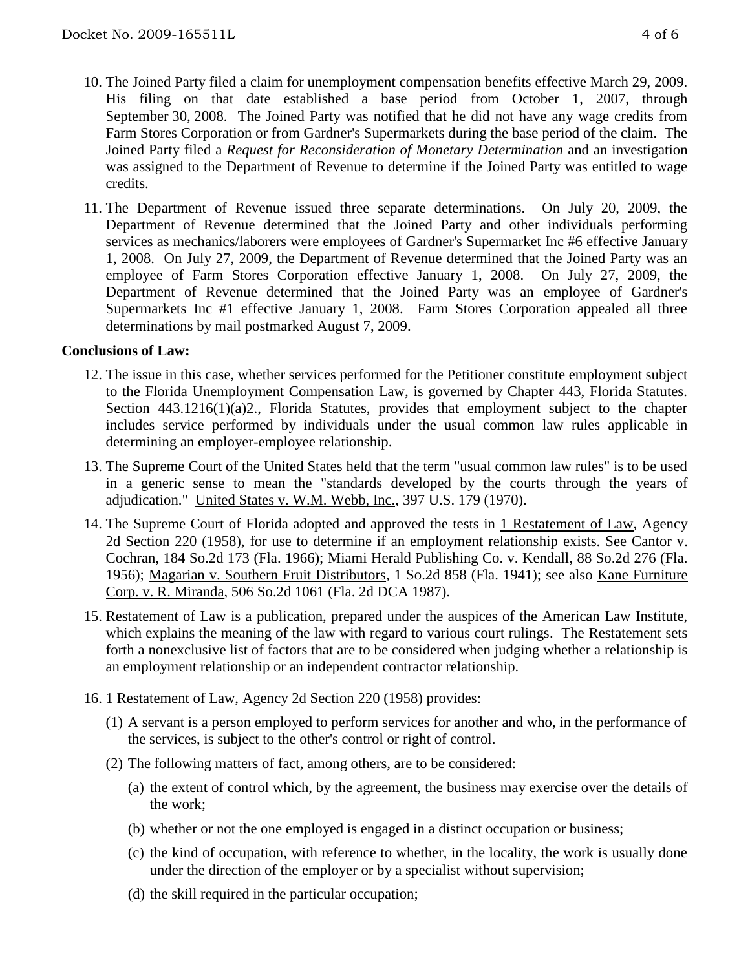- 10. The Joined Party filed a claim for unemployment compensation benefits effective March 29, 2009. His filing on that date established a base period from October 1, 2007, through September 30, 2008. The Joined Party was notified that he did not have any wage credits from Farm Stores Corporation or from Gardner's Supermarkets during the base period of the claim. The Joined Party filed a *Request for Reconsideration of Monetary Determination* and an investigation was assigned to the Department of Revenue to determine if the Joined Party was entitled to wage credits.
- 11. The Department of Revenue issued three separate determinations. On July 20, 2009, the Department of Revenue determined that the Joined Party and other individuals performing services as mechanics/laborers were employees of Gardner's Supermarket Inc #6 effective January 1, 2008. On July 27, 2009, the Department of Revenue determined that the Joined Party was an employee of Farm Stores Corporation effective January 1, 2008. On July 27, 2009, the Department of Revenue determined that the Joined Party was an employee of Gardner's Supermarkets Inc #1 effective January 1, 2008. Farm Stores Corporation appealed all three determinations by mail postmarked August 7, 2009.

#### **Conclusions of Law:**

- 12. The issue in this case, whether services performed for the Petitioner constitute employment subject to the Florida Unemployment Compensation Law, is governed by Chapter 443, Florida Statutes. Section 443.1216(1)(a)2., Florida Statutes, provides that employment subject to the chapter includes service performed by individuals under the usual common law rules applicable in determining an employer-employee relationship.
- 13. The Supreme Court of the United States held that the term "usual common law rules" is to be used in a generic sense to mean the "standards developed by the courts through the years of adjudication." United States v. W.M. Webb, Inc., 397 U.S. 179 (1970).
- 14. The Supreme Court of Florida adopted and approved the tests in 1 Restatement of Law, Agency 2d Section 220 (1958), for use to determine if an employment relationship exists. See Cantor v. Cochran, 184 So.2d 173 (Fla. 1966); Miami Herald Publishing Co. v. Kendall, 88 So.2d 276 (Fla. 1956); Magarian v. Southern Fruit Distributors, 1 So.2d 858 (Fla. 1941); see also Kane Furniture Corp. v. R. Miranda, 506 So.2d 1061 (Fla. 2d DCA 1987).
- 15. Restatement of Law is a publication, prepared under the auspices of the American Law Institute, which explains the meaning of the law with regard to various court rulings. The Restatement sets forth a nonexclusive list of factors that are to be considered when judging whether a relationship is an employment relationship or an independent contractor relationship.
- 16. 1 Restatement of Law, Agency 2d Section 220 (1958) provides:
	- (1) A servant is a person employed to perform services for another and who, in the performance of the services, is subject to the other's control or right of control.
	- (2) The following matters of fact, among others, are to be considered:
		- (a) the extent of control which, by the agreement, the business may exercise over the details of the work;
		- (b) whether or not the one employed is engaged in a distinct occupation or business;
		- (c) the kind of occupation, with reference to whether, in the locality, the work is usually done under the direction of the employer or by a specialist without supervision;
		- (d) the skill required in the particular occupation;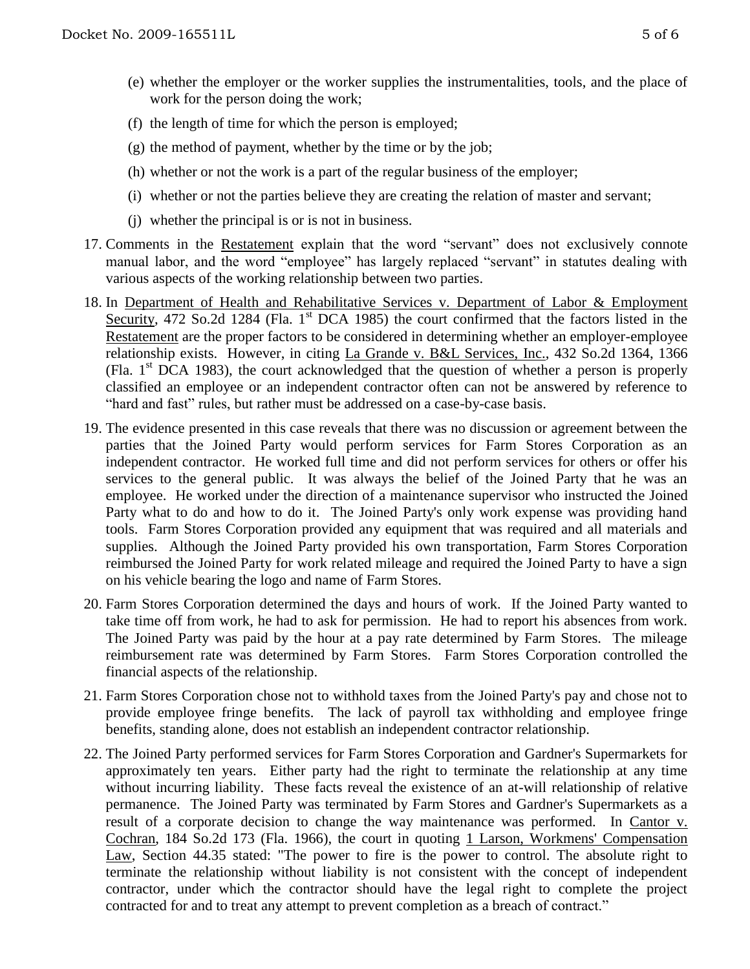- (e) whether the employer or the worker supplies the instrumentalities, tools, and the place of work for the person doing the work;
- (f) the length of time for which the person is employed;
- (g) the method of payment, whether by the time or by the job;
- (h) whether or not the work is a part of the regular business of the employer;
- (i) whether or not the parties believe they are creating the relation of master and servant;
- (j) whether the principal is or is not in business.
- 17. Comments in the Restatement explain that the word "servant" does not exclusively connote manual labor, and the word "employee" has largely replaced "servant" in statutes dealing with various aspects of the working relationship between two parties.
- 18. In Department of Health and Rehabilitative Services v. Department of Labor & Employment Security, 472 So.2d 1284 (Fla. 1<sup>st</sup> DCA 1985) the court confirmed that the factors listed in the Restatement are the proper factors to be considered in determining whether an employer-employee relationship exists. However, in citing La Grande v. B&L Services, Inc., 432 So.2d 1364, 1366 (Fla.  $1<sup>st</sup>$  DCA 1983), the court acknowledged that the question of whether a person is properly classified an employee or an independent contractor often can not be answered by reference to "hard and fast" rules, but rather must be addressed on a case-by-case basis.
- 19. The evidence presented in this case reveals that there was no discussion or agreement between the parties that the Joined Party would perform services for Farm Stores Corporation as an independent contractor. He worked full time and did not perform services for others or offer his services to the general public. It was always the belief of the Joined Party that he was an employee. He worked under the direction of a maintenance supervisor who instructed the Joined Party what to do and how to do it. The Joined Party's only work expense was providing hand tools. Farm Stores Corporation provided any equipment that was required and all materials and supplies. Although the Joined Party provided his own transportation, Farm Stores Corporation reimbursed the Joined Party for work related mileage and required the Joined Party to have a sign on his vehicle bearing the logo and name of Farm Stores.
- 20. Farm Stores Corporation determined the days and hours of work. If the Joined Party wanted to take time off from work, he had to ask for permission. He had to report his absences from work. The Joined Party was paid by the hour at a pay rate determined by Farm Stores. The mileage reimbursement rate was determined by Farm Stores. Farm Stores Corporation controlled the financial aspects of the relationship.
- 21. Farm Stores Corporation chose not to withhold taxes from the Joined Party's pay and chose not to provide employee fringe benefits. The lack of payroll tax withholding and employee fringe benefits, standing alone, does not establish an independent contractor relationship.
- 22. The Joined Party performed services for Farm Stores Corporation and Gardner's Supermarkets for approximately ten years. Either party had the right to terminate the relationship at any time without incurring liability. These facts reveal the existence of an at-will relationship of relative permanence. The Joined Party was terminated by Farm Stores and Gardner's Supermarkets as a result of a corporate decision to change the way maintenance was performed. In Cantor v. Cochran, 184 So.2d 173 (Fla. 1966), the court in quoting 1 Larson, Workmens' Compensation Law, Section 44.35 stated: "The power to fire is the power to control. The absolute right to terminate the relationship without liability is not consistent with the concept of independent contractor, under which the contractor should have the legal right to complete the project contracted for and to treat any attempt to prevent completion as a breach of contract."